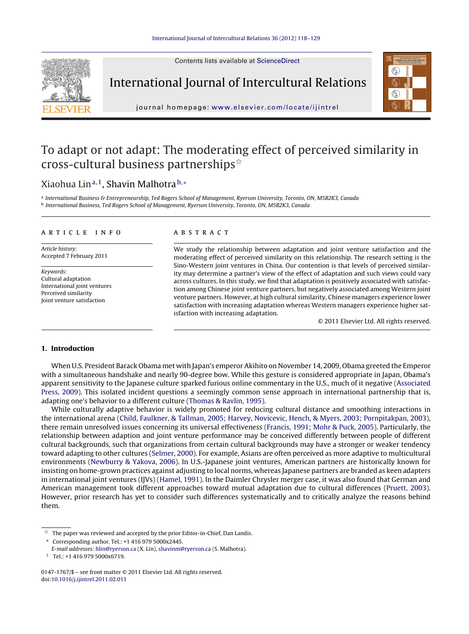Contents lists available at [ScienceDirect](http://www.sciencedirect.com/science/journal/01471767)



International Journal of Intercultural Relations



journal homepage: [www.elsevier.com/locate/ijintrel](http://www.elsevier.com/locate/ijintrel)

## To adapt or not adapt: The moderating effect of perceived similarity in cross-cultural business partnerships $^{\star}$

### Xiaohua Lin<sup>a,1</sup>, Shavin Malhotra b,\*

a International Business & Entrepreneurship, Ted Rogers School of Management, Ryerson University, Toronto, ON, M5B2K3, Canada <sup>b</sup> International Business, Ted Rogers School of Management, Ryerson University, Toronto, ON, M5B2K3, Canada

#### a r t i c l e i n f o

Article history: Accepted 7 February 2011

Keywords: Cultural adaptation International joint ventures Perceived similarity Joint venture satisfaction

#### A B S T R A C T

We study the relationship between adaptation and joint venture satisfaction and the moderating effect of perceived similarity on this relationship. The research setting is the Sino-Western joint ventures in China. Our contention is that levels of perceived similarity may determine a partner's view of the effect of adaptation and such views could vary across cultures. In this study, we find that adaptation is positively associated with satisfaction among Chinese joint venture partners, but negatively associated among Western joint venture partners. However, at high cultural similarity, Chinese managers experience lower satisfaction with increasing adaptation whereas Western managers experience higher satisfaction with increasing adaptation.

© 2011 Elsevier Ltd. All rights reserved.

#### **1. Introduction**

When U.S. President Barack Obama met with Japan's emperor Akihito on November 14, 2009, Obama greeted the Emperor with a simultaneous handshake and nearly 90-degree bow. While this gesture is considered appropriate in Japan, Obama's apparent sensitivity to the Japanese culture sparked furious online commentary in the U.S., much of it negative [\(Associated](#page--1-0) [Press,](#page--1-0) [2009\).](#page--1-0) This isolated incident questions a seemingly common sense approach in international partnership that is, adapting one's behavior to a different culture ([Thomas](#page--1-0) [&](#page--1-0) [Ravlin,](#page--1-0) [1995\).](#page--1-0)

While culturally adaptive behavior is widely promoted for reducing cultural distance and smoothing interactions in the international arena ([Child,](#page--1-0) [Faulkner,](#page--1-0) [&](#page--1-0) [Tallman,](#page--1-0) [2005;](#page--1-0) [Harvey,](#page--1-0) [Novicevic,](#page--1-0) [Hench,](#page--1-0) [&](#page--1-0) [Myers,](#page--1-0) [2003;](#page--1-0) [Pornpitakpan,](#page--1-0) [2003\),](#page--1-0) there remain unresolved issues concerning its universal effectiveness [\(Francis,](#page--1-0) [1991;](#page--1-0) [Mohr](#page--1-0) [&](#page--1-0) [Puck,](#page--1-0) [2005\).](#page--1-0) Particularly, the relationship between adaption and joint venture performance may be conceived differently between people of different cultural backgrounds, such that organizations from certain cultural backgrounds may have a stronger or weaker tendency toward adapting to other cultures [\(Selmer,](#page--1-0) [2000\).](#page--1-0) For example, Asians are often perceived as more adaptive to multicultural environments [\(Newburry](#page--1-0) [&](#page--1-0) [Yakova,](#page--1-0) [2006\).](#page--1-0) In U.S.-Japanese joint ventures, American partners are historically known for insisting on home-grown practices against adjusting to local norms, whereas Japanese partners are branded as keen adapters in international joint ventures (IJVs) [\(Hamel,](#page--1-0) [1991\).](#page--1-0) In the Daimler Chrysler merger case, it was also found that German and American management took different approaches toward mutual adaptation due to cultural differences [\(Pruett,](#page--1-0) [2003\).](#page--1-0) However, prior research has yet to consider such differences systematically and to critically analyze the reasons behind them.

∗ Corresponding author. Tel.: +1 416 979 5000x2445.

 $\vec{\mathbb{M}}$ The paper was reviewed and accepted by the prior Editor-in-Chief, Dan Landis.

E-mail addresses: [hlin@ryerson.ca](mailto:hlin@ryerson.ca) (X. Lin), [shavinm@ryerson.ca](mailto:shavinm@ryerson.ca) (S. Malhotra).

<sup>1</sup> Tel.: +1 416 979 5000x6719.

<sup>0147-1767/\$</sup> – see front matter © 2011 Elsevier Ltd. All rights reserved. doi:[10.1016/j.ijintrel.2011.02.011](dx.doi.org/10.1016/j.ijintrel.2011.02.011)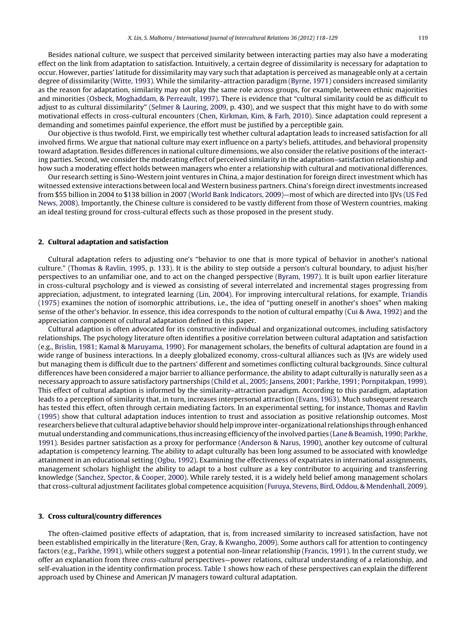Besides national culture, we suspect that perceived similarity between interacting parties may also have a moderating effect on the link from adaptation to satisfaction. Intuitively, a certain degree of dissimilarity is necessary for adaptation to occur. However, parties' latitude for dissimilarity may vary such that adaptation is perceived as manageable only at a certain degree of dissimilarity [\(Witte,](#page--1-0) [1993\).](#page--1-0) While the similarity–attraction paradigm [\(Byrne,](#page--1-0) [1971\)](#page--1-0) considers increased similarity as the reason for adaptation, similarity may not play the same role across groups, for example, between ethnic majorities and minorities ([Osbeck,](#page--1-0) [Moghaddam,](#page--1-0) [&](#page--1-0) [Perreault,](#page--1-0) [1997\).](#page--1-0) There is evidence that "cultural similarity could be as difficult to adjust to as cultural dissimilarity" ([Selmer](#page--1-0) [&](#page--1-0) [Lauring,](#page--1-0) [2009,](#page--1-0) p. 430), and we suspect that this might have to do with some motivational effects in cross-cultural encounters [\(Chen,](#page--1-0) [Kirkman,](#page--1-0) [Kim,](#page--1-0) [&](#page--1-0) [Farh,](#page--1-0) [2010\).](#page--1-0) Since adaptation could represent a demanding and sometimes painful experience, the effort must be justified by a perceptible gain.

Our objective is thus twofold. First, we empirically test whether cultural adaptation leads to increased satisfaction for all involved firms. We argue that national culture may exert influence on a party's beliefs, attitudes, and behavioral propensity toward adaptation. Besides differences in national culture dimensions, we also consider the relative positions ofthe interacting parties. Second, we consider the moderating effect of perceived similarity in the adaptation–satisfaction relationship and how such a moderating effect holds between managers who enter a relationship with cultural and motivational differences.

Our research setting is Sino-Western joint ventures in China, a major destination for foreign direct investment which has witnessed extensive interactions between local and Western business partners. China's foreign direct investments increased from \$55 billion in 2004 to \$138 billion in 2007 [\(World](#page--1-0) [Bank](#page--1-0) [Indicators,](#page--1-0) [2009\)—](#page--1-0)most of which are directed into IJVs ([US](#page--1-0) [Fed](#page--1-0) [News,](#page--1-0) [2008\).](#page--1-0) Importantly, the Chinese culture is considered to be vastly different from those of Western countries, making an ideal testing ground for cross-cultural effects such as those proposed in the present study.

#### **2. Cultural adaptation and satisfaction**

Cultural adaptation refers to adjusting one's "behavior to one that is more typical of behavior in another's national culture." ([Thomas](#page--1-0) [&](#page--1-0) [Ravlin,](#page--1-0) [1995,](#page--1-0) p. 133). It is the ability to step outside a person's cultural boundary, to adjust his/her perspectives to an unfamiliar one, and to act on the changed perspective [\(Byram,](#page--1-0) [1997\).](#page--1-0) It is built upon earlier literature in cross-cultural psychology and is viewed as consisting of several interrelated and incremental stages progressing from appreciation, adjustment, to integrated learning ([Lin,](#page--1-0) [2004\).](#page--1-0) For improving intercultural relations, for example, [Triandis](#page--1-0) [\(1975\)](#page--1-0) examines the notion of isomorphic attributions, i.e., the idea of "putting oneself in another's shoes" when making sense of the other's behavior. In essence, this idea corresponds to the notion of cultural empathy ([Cui](#page--1-0) [&](#page--1-0) [Awa,](#page--1-0) [1992\)](#page--1-0) and the appreciation component of cultural adaptation defined in this paper.

Cultural adaption is often advocated for its constructive individual and organizational outcomes, including satisfactory relationships. The psychology literature often identifies a positive correlation between cultural adaptation and satisfaction (e.g., [Brislin,](#page--1-0) [1981;](#page--1-0) [Kamal](#page--1-0) [&](#page--1-0) [Maruyama,](#page--1-0) [1990\).](#page--1-0) For management scholars, the benefits of cultural adaptation are found in a wide range of business interactions. In a deeply globalized economy, cross-cultural alliances such as IJVs are widely used but managing them is difficult due to the partners' different and sometimes conflicting cultural backgrounds. Since cultural differences have been considered a major barrier to alliance performance, the ability to adapt culturally is naturally seen as a necessary approach to assure satisfactory partnerships ([Child](#page--1-0) et [al.,](#page--1-0) [2005;](#page--1-0) [Jansens,](#page--1-0) [2001;](#page--1-0) [Parkhe,](#page--1-0) [1991;](#page--1-0) [Pornpitakpan,](#page--1-0) [1999\).](#page--1-0) This effect of cultural adaption is informed by the similarity–attraction paradigm. According to this paradigm, adaptation leads to a perception of similarity that, in turn, increases interpersonal attraction [\(Evans,](#page--1-0) [1963\).](#page--1-0) Much subsequent research has tested this effect, often through certain mediating factors. In an experimental setting, for instance, [Thomas](#page--1-0) [and](#page--1-0) [Ravlin](#page--1-0) [\(1995\)](#page--1-0) show that cultural adaptation induces intention to trust and association as positive relationship outcomes. Most researchers believe that cultural adaptive behavior shouldhelpimprove inter-organizational relationships throughenhanced mutual understanding and communications,thus increasing efficiency ofthe involved parties ([Lane](#page--1-0) [&](#page--1-0) [Beamish,](#page--1-0) [1990;](#page--1-0) [Parkhe,](#page--1-0) [1991\).](#page--1-0) Besides partner satisfaction as a proxy for performance [\(Anderson](#page--1-0) [&](#page--1-0) [Narus,](#page--1-0) [1990\),](#page--1-0) another key outcome of cultural adaptation is competency learning. The ability to adapt culturally has been long assumed to be associated with knowledge attainment in an educational setting [\(Ogbu,](#page--1-0) [1992\).](#page--1-0) Examining the effectiveness of expatriates in international assignments, management scholars highlight the ability to adapt to a host culture as a key contributor to acquiring and transferring knowledge ([Sanchez,](#page--1-0) [Spector,](#page--1-0) [&](#page--1-0) [Cooper,](#page--1-0) [2000\).](#page--1-0) While rarely tested, it is a widely held belief among management scholars that cross-cultural adjustment facilitates global competence acquisition ([Furuya,](#page--1-0) [Stevens,](#page--1-0) [Bird,](#page--1-0) [Oddou,](#page--1-0) [&](#page--1-0) [Mendenhall,](#page--1-0) [2009\).](#page--1-0)

#### **3. Cross cultural/country differences**

The often-claimed positive effects of adaptation, that is, from increased similarity to increased satisfaction, have not been established empirically in the literature [\(Ren,](#page--1-0) [Gray,](#page--1-0) [&](#page--1-0) [Kwangho,](#page--1-0) [2009\).](#page--1-0) Some authors call for attention to contingency factors (e.g., [Parkhe,](#page--1-0) [1991\),](#page--1-0) while others suggest a potential non-linear relationship [\(Francis,](#page--1-0) [1991\).](#page--1-0) In the current study, we offer an explanation from three cross-cultural perspectives—power relations, cultural understanding of a relationship, and self-evaluation in the identity confirmation process. [Table](#page--1-0) 1 shows how each of these perspectives can explain the different approach used by Chinese and American JV managers toward cultural adaptation.